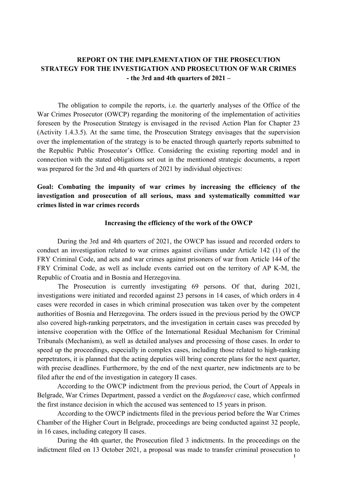# **REPORT ON THE IMPLEMENTATION OF THE PROSECUTION STRATEGY FOR THE INVESTIGATION AND PROSECUTION OF WAR CRIMES - the 3rd and 4th quarters of 2021 –**

The obligation to compile the reports, i.e. the quarterly analyses of the Office of the War Crimes Prosecutor (OWCP) regarding the monitoring of the implementation of activities foreseen by the Prosecution Strategy is envisaged in the revised Action Plan for Chapter 23 (Activity 1.4.3.5). At the same time, the Prosecution Strategy envisages that the supervision over the implementation of the strategy is to be enacted through quarterly reports submitted to the Republic Public Prosecutor's Office. Considering the existing reporting model and in connection with the stated obligations set out in the mentioned strategic documents, a report was prepared for the 3rd and 4th quarters of 2021 by individual objectives:

# **Goal: Combating the impunity of war crimes by increasing the efficiency of the investigation and prosecution of all serious, mass and systematically committed war crimes listed in war crimes records**

#### **Increasing the efficiency of the work of the OWCP**

During the 3rd and 4th quarters of 2021, the OWCP has issued and recorded orders to conduct an investigation related to war crimes against civilians under Article 142 (1) of the FRY Criminal Code, and acts and war crimes against prisoners of war from Article 144 of the FRY Criminal Code, as well as include events carried out on the territory of AP K-M, the Republic of Croatia and in Bosnia and Herzegovina.

The Prosecution is currently investigating 69 persons. Of that, during 2021, investigations were initiated and recorded against 23 persons in 14 cases, of which orders in 4 cases were recorded in cases in which criminal prosecution was taken over by the competent authorities of Bosnia and Herzegovina. The orders issued in the previous period by the OWCP also covered high-ranking perpetrators, and the investigation in certain cases was preceded by intensive cooperation with the Office of the International Residual Mechanism for Criminal Tribunals (Mechanism), as well as detailed analyses and processing of those cases. In order to speed up the proceedings, especially in complex cases, including those related to high-ranking perpetrators, it is planned that the acting deputies will bring concrete plans for the next quarter, with precise deadlines. Furthermore, by the end of the next quarter, new indictments are to be filed after the end of the investigation in category II cases.

According to the OWCP indictment from the previous period, the Court of Appeals in Belgrade, War Crimes Department, passed a verdict on the *Bogdanovci* case, which confirmed the first instance decision in which the accused was sentenced to 15 years in prison.

According to the OWCP indictments filed in the previous period before the War Crimes Chamber of the Higher Court in Belgrade, proceedings are being conducted against 32 people, in 16 cases, including category II cases.

During the 4th quarter, the Prosecution filed 3 indictments. In the proceedings on the indictment filed on 13 October 2021, a proposal was made to transfer criminal prosecution to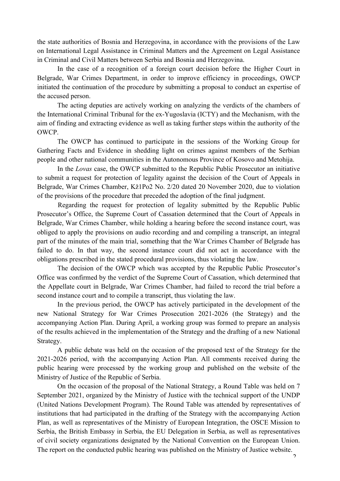the state authorities of Bosnia and Herzegovina, in accordance with the provisions of the Law on International Legal Assistance in Criminal Matters and the Agreement on Legal Assistance in Criminal and Civil Matters between Serbia and Bosnia and Herzegovina.

In the case of a recognition of a foreign court decision before the Higher Court in Belgrade, War Crimes Department, in order to improve efficiency in proceedings, OWCP initiated the continuation of the procedure by submitting a proposal to conduct an expertise of the accused person.

The acting deputies are actively working on analyzing the verdicts of the chambers of the International Criminal Tribunal for the ex-Yugoslavia (ICTY) and the Mechanism, with the aim of finding and extracting evidence as well as taking further steps within the authority of the OWCP.

The OWCP has continued to participate in the sessions of the Working Group for Gathering Facts and Evidence in shedding light on crimes against members of the Serbian people and other national communities in the Autonomous Province of Kosovo and Metohija.

In the *Lovas* case, the OWCP submitted to the Republic Public Prosecutor an initiative to submit a request for protection of legality against the decision of the Court of Appeals in Belgrade, War Crimes Chamber, Kž1Po2 No. 2/20 dated 20 November 2020, due to violation of the provisions of the procedure that preceded the adoption of the final judgment.

Regarding the request for protection of legality submitted by the Republic Public Prosecutor's Office, the Supreme Court of Cassation determined that the Court of Appeals in Belgrade, War Crimes Chamber, while holding a hearing before the second instance court, was obliged to apply the provisions on audio recording and and compiling a transcript, an integral part of the minutes of the main trial, something that the War Crimes Chamber of Belgrade has failed to do. In that way, the second instance court did not act in accordance with the obligations prescribed in the stated procedural provisions, thus violating the law.

The decision of the OWCP which was accepted by the Republic Public Prosecutor's Office was confirmed by the verdict of the Supreme Court of Cassation, which determined that the Appellate court in Belgrade, War Crimes Chamber, had failed to record the trial before a second instance court and to compile a transcript, thus violating the law.

In the previous period, the OWCP has actively participated in the development of the new National Strategy for War Crimes Prosecution 2021-2026 (the Strategy) and the accompanying Action Plan. During April, a working group was formed to prepare an analysis of the results achieved in the implementation of the Strategy and the drafting of a new National Strategy.

A public debate was held on the occasion of the proposed text of the Strategy for the 2021-2026 period, with the accompanying Action Plan. All comments received during the public hearing were processed by the working group and published on the website of the Ministry of Justice of the Republic of Serbia.

On the occasion of the proposal of the National Strategy, a Round Table was held on 7 September 2021, organized by the Ministry of Justice with the technical support of the UNDP (United Nations Development Program). The Round Table was attended by representatives of institutions that had participated in the drafting of the Strategy with the accompanying Action Plan, as well as representatives of the Ministry of European Integration, the OSCE Mission to Serbia, the British Embassy in Serbia, the EU Delegation in Serbia, as well as representatives of civil society organizations designated by the National Convention on the European Union. The report on the conducted public hearing was published on the Ministry of Justice website.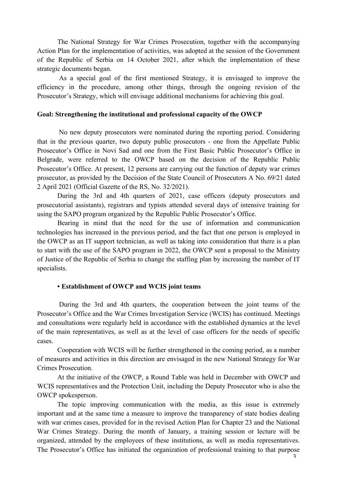The National Strategy for War Crimes Prosecution, together with the accompanying Action Plan for the implementation of activities, was adopted at the session of the Government of the Republic of Serbia on 14 October 2021, after which the implementation of these strategic documents began.

As a special goal of the first mentioned Strategy, it is envisaged to improve the efficiency in the procedure, among other things, through the ongoing revision of the Prosecutor's Strategy, which will envisage additional mechanisms for achieving this goal.

#### **Goal: Strengthening the institutional and professional capacity of the OWCP**

No new deputy prosecutors were nominated during the reporting period. Considering that in the previous quarter, two deputy public prosecutors - one from the Appellate Public Prosecutor's Office in Novi Sad and one from the First Basic Public Prosecutor's Office in Belgrade, were referred to the OWCP based on the decision of the Republic Public Prosecutor's Office. At present, 12 persons are carrying out the function of deputy war crimes prosecutor, as provided by the Decision of the State Council of Prosecutors A No. 69/21 dated 2 April 2021 (Official Gazette of the RS, No. 32/2021).

During the 3rd and 4th quarters of 2021, case officers (deputy prosecutors and prosecutorial assistants), registrars and typists attended several days of intensive training for using the SAPO program organized by the Republic Public Prosecutor's Office.

Bearing in mind that the need for the use of information and communication technologies has increased in the previous period, and the fact that one person is employed in the OWCP as an IT support technician, as well as taking into consideration that there is a plan to start with the use of the SAPO program in 2022, the OWCP sent a proposal to the Ministry of Justice of the Republic of Serbia to change the staffing plan by increasing the number of IT specialists.

### **• Establishment of OWCP and WCIS joint teams**

During the 3rd and 4th quarters, the cooperation between the joint teams of the Prosecutor's Office and the War Crimes Investigation Service (WCIS) has continued. Meetings and consultations were regularly held in accordance with the established dynamics at the level of the main representatives, as well as at the level of case officers for the needs of specific cases.

Cooperation with WCIS will be further strengthened in the coming period, as a number of measures and activities in this direction are envisaged in the new National Strategy for War Crimes Prosecution.

At the initiative of the OWCP, a Round Table was held in December with OWCP and WCIS representatives and the Protection Unit, including the Deputy Prosecutor who is also the OWCP spokesperson.

The topic improving communication with the media, as this issue is extremely important and at the same time a measure to improve the transparency of state bodies dealing with war crimes cases, provided for in the revised Action Plan for Chapter 23 and the National War Crimes Strategy. During the month of January, a training session or lecture will be organized, attended by the employees of these institutions, as well as media representatives. The Prosecutor's Office has initiated the organization of professional training to that purpose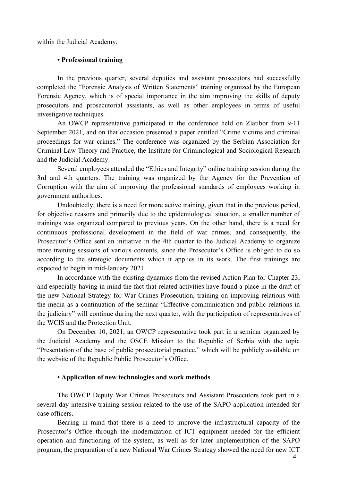within the Judicial Academy.

### **• Professional training**

In the previous quarter, several deputies and assistant prosecutors had successfully completed the "Forensic Analysis of Written Statements" training organized by the European Forensic Agency, which is of special importance in the aim improving the skills of deputy prosecutors and prosecutorial assistants, as well as other employees in terms of useful investigative techniques.

An OWCP representative participated in the conference held on Zlatibor from 9-11 September 2021, and on that occasion presented a paper entitled "Crime victims and criminal proceedings for war crimes." The conference was organized by the Serbian Association for Criminal Law Theory and Practice, the Institute for Criminological and Sociological Research and the Judicial Academy.

Several employees attended the "Ethics and Integrity" online training session during the 3rd and 4th quarters. The training was organized by the Agency for the Prevention of Corruption with the aim of improving the professional standards of employees working in government authorities.

Undoubtedly, there is a need for more active training, given that in the previous period, for objective reasons and primarily due to the epidemiological situation, a smaller number of trainings was organized compared to previous years. On the other hand, there is a need for continuous professional development in the field of war crimes, and consequently, the Prosecutor's Office sent an initiative in the 4th quarter to the Judicial Academy to organize more training sessions of various contents, since the Prosecutor's Office is obliged to do so according to the strategic documents which it applies in its work. The first trainings are expected to begin in mid-January 2021.

In accordance with the existing dynamics from the revised Action Plan for Chapter 23, and especially having in mind the fact that related activities have found a place in the draft of the new National Strategy for War Crimes Prosecution, training on improving relations with the media as a continuation of the seminar "Effective communication and public relations in the judiciary" will continue during the next quarter, with the participation of representatives of the WCIS and the Protection Unit.

On December 10, 2021, an OWCP representative took part in a seminar organized by the Judicial Academy and the OSCE Mission to the Republic of Serbia with the topic "Presentation of the base of public prosecutorial practice," which will be publicly available on the website of the Republic Public Prosecutor's Office.

#### **• Application of new technologies and work methods**

The OWCP Deputy War Crimes Prosecutors and Assistant Prosecutors took part in a several-day intensive training session related to the use of the SAPO application intended for case officers.

Bearing in mind that there is a need to improve the infrastructural capacity of the Prosecutor's Office through the modernization of ICT equipment needed for the efficient operation and functioning of the system, as well as for later implementation of the SAPO program, the preparation of a new National War Crimes Strategy showed the need for new ICT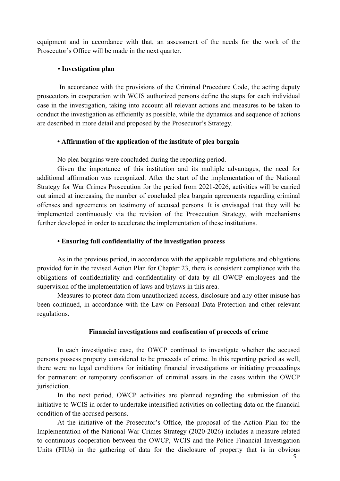equipment and in accordance with that, an assessment of the needs for the work of the Prosecutor's Office will be made in the next quarter.

## **• Investigation plan**

In accordance with the provisions of the Criminal Procedure Code, the acting deputy prosecutors in cooperation with WCIS authorized persons define the steps for each individual case in the investigation, taking into account all relevant actions and measures to be taken to conduct the investigation as efficiently as possible, while the dynamics and sequence of actions are described in more detail and proposed by the Prosecutor's Strategy.

## **• Affirmation of the application of the institute of plea bargain**

No plea bargains were concluded during the reporting period.

Given the importance of this institution and its multiple advantages, the need for additional affirmation was recognized. After the start of the implementation of the National Strategy for War Crimes Prosecution for the period from 2021-2026, activities will be carried out aimed at increasing the number of concluded plea bargain agreements regarding criminal offenses and agreements on testimony of accused persons. It is envisaged that they will be implemented continuously via the revision of the Prosecution Strategy, with mechanisms further developed in order to accelerate the implementation of these institutions.

## **• Ensuring full confidentiality of the investigation process**

As in the previous period, in accordance with the applicable regulations and obligations provided for in the revised Action Plan for Chapter 23, there is consistent compliance with the obligations of confidentiality and confidentiality of data by all OWCP employees and the supervision of the implementation of laws and bylaws in this area.

Measures to protect data from unauthorized access, disclosure and any other misuse has been continued, in accordance with the Law on Personal Data Protection and other relevant regulations.

## **Financial investigations and confiscation of proceeds of crime**

In each investigative case, the OWCP continued to investigate whether the accused persons possess property considered to be proceeds of crime. In this reporting period as well, there were no legal conditions for initiating financial investigations or initiating proceedings for permanent or temporary confiscation of criminal assets in the cases within the OWCP jurisdiction.

In the next period, OWCP activities are planned regarding the submission of the initiative to WCIS in order to undertake intensified activities on collecting data on the financial condition of the accused persons.

At the initiative of the Prosecutor's Office, the proposal of the Action Plan for the Implementation of the National War Crimes Strategy (2020-2026) includes a measure related to continuous cooperation between the OWCP, WCIS and the Police Financial Investigation Units (FIUs) in the gathering of data for the disclosure of property that is in obvious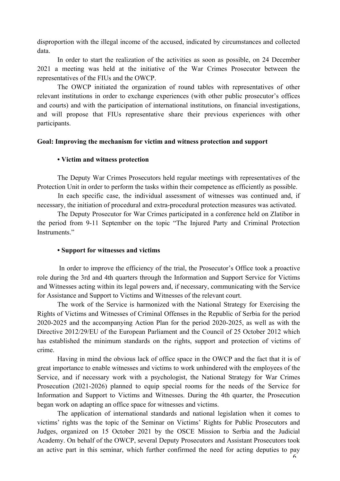disproportion with the illegal income of the accused, indicated by circumstances and collected data.

In order to start the realization of the activities as soon as possible, on 24 December 2021 a meeting was held at the initiative of the War Crimes Prosecutor between the representatives of the FIUs and the OWCP.

The OWCP initiated the organization of round tables with representatives of other relevant institutions in order to exchange experiences (with other public prosecutor's offices and courts) and with the participation of international institutions, on financial investigations, and will propose that FIUs representative share their previous experiences with other participants.

### **Goal: Improving the mechanism for victim and witness protection and support**

## **• Victim and witness protection**

The Deputy War Crimes Prosecutors held regular meetings with representatives of the Protection Unit in order to perform the tasks within their competence as efficiently as possible.

In each specific case, the individual assessment of witnesses was continued and, if necessary, the initiation of procedural and extra-procedural protection measures was activated.

The Deputy Prosecutor for War Crimes participated in a conference held on Zlatibor in the period from 9-11 September on the topic "The Injured Party and Criminal Protection Instruments."

#### **• Support for witnesses and victims**

In order to improve the efficiency of the trial, the Prosecutor's Office took a proactive role during the 3rd and 4th quarters through the Information and Support Service for Victims and Witnesses acting within its legal powers and, if necessary, communicating with the Service for Assistance and Support to Victims and Witnesses of the relevant court.

The work of the Service is harmonized with the National Strategy for Exercising the Rights of Victims and Witnesses of Criminal Offenses in the Republic of Serbia for the period 2020-2025 and the accompanying Action Plan for the period 2020-2025, as well as with the Directive 2012/29/EU of the European Parliament and the Council of 25 October 2012 which has established the minimum standards on the rights, support and protection of victims of crime.

Having in mind the obvious lack of office space in the OWCP and the fact that it is of great importance to enable witnesses and victims to work unhindered with the employees of the Service, and if necessary work with a psychologist, the National Strategy for War Crimes Prosecution (2021-2026) planned to equip special rooms for the needs of the Service for Information and Support to Victims and Witnesses. During the 4th quarter, the Prosecution began work on adapting an office space for witnesses and victims.

The application of international standards and national legislation when it comes to victims' rights was the topic of the Seminar on Victims' Rights for Public Prosecutors and Judges, organized on 15 October 2021 by the OSCE Mission to Serbia and the Judicial Academy. On behalf of the OWCP, several Deputy Prosecutors and Assistant Prosecutors took an active part in this seminar, which further confirmed the need for acting deputies to pay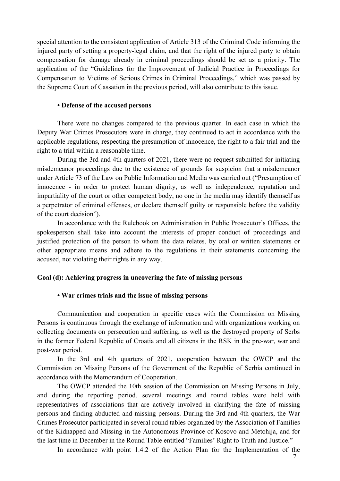special attention to the consistent application of Article 313 of the Criminal Code informing the injured party of setting a property-legal claim, and that the right of the injured party to obtain compensation for damage already in criminal proceedings should be set as a priority. The application of the "Guidelines for the Improvement of Judicial Practice in Proceedings for Compensation to Victims of Serious Crimes in Criminal Proceedings," which was passed by the Supreme Court of Cassation in the previous period, will also contribute to this issue.

#### **• Defense of the accused persons**

There were no changes compared to the previous quarter. In each case in which the Deputy War Crimes Prosecutors were in charge, they continued to act in accordance with the applicable regulations, respecting the presumption of innocence, the right to a fair trial and the right to a trial within a reasonable time.

During the 3rd and 4th quarters of 2021, there were no request submitted for initiating misdemeanor proceedings due to the existence of grounds for suspicion that a misdemeanor under Article 73 of the Law on Public Information and Media was carried out ("Presumption of innocence - in order to protect human dignity, as well as independence, reputation and impartiality of the court or other competent body, no one in the media may identify themself as a perpetrator of criminal offenses, or declare themself guilty or responsible before the validity of the court decision").

In accordance with the Rulebook on Administration in Public Prosecutor's Offices, the spokesperson shall take into account the interests of proper conduct of proceedings and justified protection of the person to whom the data relates, by oral or written statements or other appropriate means and adhere to the regulations in their statements concerning the accused, not violating their rights in any way.

#### **Goal (d): Achieving progress in uncovering the fate of missing persons**

#### **• War crimes trials and the issue of missing persons**

Communication and cooperation in specific cases with the Commission on Missing Persons is continuous through the exchange of information and with organizations working on collecting documents on persecution and suffering, as well as the destroyed property of Serbs in the former Federal Republic of Croatia and all citizens in the RSK in the pre-war, war and post-war period.

In the 3rd and 4th quarters of 2021, cooperation between the OWCP and the Commission on Missing Persons of the Government of the Republic of Serbia continued in accordance with the Memorandum of Cooperation.

The OWCP attended the 10th session of the Commission on Missing Persons in July, and during the reporting period, several meetings and round tables were held with representatives of associations that are actively involved in clarifying the fate of missing persons and finding abducted and missing persons. During the 3rd and 4th quarters, the War Crimes Prosecutor participated in several round tables organized by the Association of Families of the Kidnapped and Missing in the Autonomous Province of Kosovo and Metohija, and for the last time in December in the Round Table entitled "Families' Right to Truth and Justice."

In accordance with point 1.4.2 of the Action Plan for the Implementation of the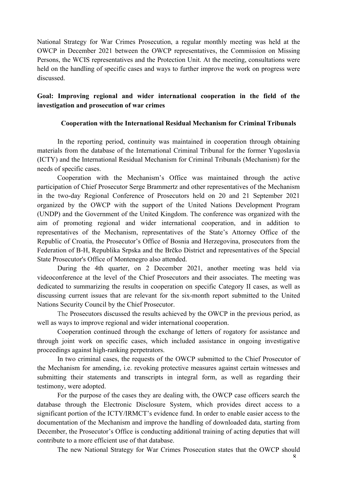National Strategy for War Crimes Prosecution, a regular monthly meeting was held at the OWCP in December 2021 between the OWCP representatives, the Commission on Missing Persons, the WCIS representatives and the Protection Unit. At the meeting, consultations were held on the handling of specific cases and ways to further improve the work on progress were discussed.

## **Goal: Improving regional and wider international cooperation in the field of the investigation and prosecution of war crimes**

## **Cooperation with the International Residual Mechanism for Criminal Tribunals**

In the reporting period, continuity was maintained in cooperation through obtaining materials from the database of the International Criminal Tribunal for the former Yugoslavia (ICTY) and the International Residual Mechanism for Criminal Tribunals (Mechanism) for the needs of specific cases.

Cooperation with the Mechanism's Office was maintained through the active participation of Chief Prosecutor Serge Brammertz and other representatives of the Mechanism in the two-day Regional Conference of Prosecutors held on 20 and 21 September 2021 organized by the OWCP with the support of the United Nations Development Program (UNDP) and the Government of the United Kingdom. The conference was organized with the aim of promoting regional and wider international cooperation, and in addition to representatives of the Mechanism, representatives of the State's Attorney Office of the Republic of Croatia, the Prosecutor's Office of Bosnia and Herzegovina, prosecutors from the Federation of B-H, Republika Srpska and the Brčko District and representatives of the Special State Prosecutor's Office of Montenegro also attended.

During the 4th quarter, on 2 December 2021, another meeting was held via videoconference at the level of the Chief Prosecutors and their associates. The meeting was dedicated to summarizing the results in cooperation on specific Category II cases, as well as discussing current issues that are relevant for the six-month report submitted to the United Nations Security Council by the Chief Prosecutor.

The Prosecutors discussed the results achieved by the OWCP in the previous period, as well as ways to improve regional and wider international cooperation.

Cooperation continued through the exchange of letters of rogatory for assistance and through joint work on specific cases, which included assistance in ongoing investigative proceedings against high-ranking perpetrators.

In two criminal cases, the requests of the OWCP submitted to the Chief Prosecutor of the Mechanism for amending, i.e. revoking protective measures against certain witnesses and submitting their statements and transcripts in integral form, as well as regarding their testimony, were adopted.

For the purpose of the cases they are dealing with, the OWCP case officers search the database through the Electronic Disclosure System, which provides direct access to a significant portion of the ICTY/IRMCT's evidence fund. In order to enable easier access to the documentation of the Mechanism and improve the handling of downloaded data, starting from December, the Prosecutor's Office is conducting additional training of acting deputies that will contribute to a more efficient use of that database.

The new National Strategy for War Crimes Prosecution states that the OWCP should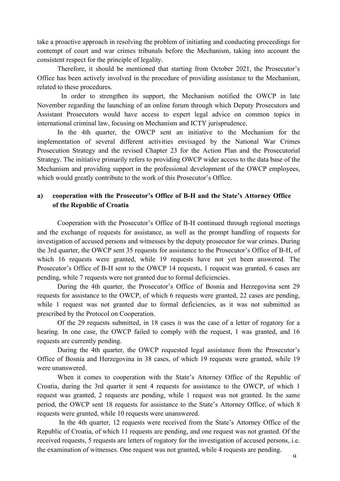take a proactive approach in resolving the problem of initiating and conducting proceedings for contempt of court and war crimes tribunals before the Mechanism, taking into account the consistent respect for the principle of legality.

Therefore, it should be mentioned that starting from October 2021, the Prosecutor's Office has been actively involved in the procedure of providing assistance to the Mechanism, related to these procedures.

In order to strengthen its support, the Mechanism notified the OWCP in late November regarding the launching of an online forum through which Deputy Prosecutors and Assistant Prosecutors would have access to expert legal advice on common topics in international criminal law, focusing on Mechanism and ICTY jurisprudence.

In the 4th quarter, the OWCP sent an initiative to the Mechanism for the implementation of several different activities envisaged by the National War Crimes Prosecution Strategy and the revised Chapter 23 for the Action Plan and the Prosecutorial Strategy. The initiative primarily refers to providing OWCP wider access to the data base of the Mechanism and providing support in the professional development of the OWCP employees, which would greatly contribute to the work of this Prosecutor's Office.

## **a) cooperation with the Prosecutor's Office of B-H and the State's Attorney Office of the Republic of Croatia**

Cooperation with the Prosecutor's Office of B-H continued through regional meetings and the exchange of requests for assistance, as well as the prompt handling of requests for investigation of accused persons and witnesses by the deputy prosecutor for war crimes. During the 3rd quarter, the OWCP sent 35 requests for assistance to the Prosecutor's Office of B-H, of which 16 requests were granted, while 19 requests have not yet been answered. The Prosecutor's Office of B-H sent to the OWCP 14 requests, 1 request was granted, 6 cases are pending, while 7 requests were not granted due to formal deficiencies.

During the 4th quarter, the Prosecutor's Office of Bosnia and Herzegovina sent 29 requests for assistance to the OWCP, of which 6 requests were granted, 22 cases are pending, while 1 request was not granted due to formal deficiencies, as it was not submitted as prescribed by the Protocol on Cooperation.

Of the 29 requests submitted, in 18 cases it was the case of a letter of rogatory for a hearing. In one case, the OWCP failed to comply with the request, 1 was granted, and 16 requests are currently pending.

During the 4th quarter, the OWCP requested legal assistance from the Prosecutor's Office of Bosnia and Herzegovina in 38 cases, of which 19 requests were granted, while 19 were unanswered.

When it comes to cooperation with the State's Attorney Office of the Republic of Croatia, during the 3rd quarter it sent 4 requests for assistance to the OWCP, of which 1 request was granted, 2 requests are pending, while 1 request was not granted. In the same period, the OWCP sent 18 requests for assistance to the State's Attorney Office, of which 8 requests were granted, while 10 requests were unanswered.

In the 4th quarter, 12 requests were received from the State's Attorney Office of the Republic of Croatia, of which 11 requests are pending, and one request was not granted. Of the received requests, 5 requests are letters of rogatory for the investigation of accused persons, i.e. the examination of witnesses. One request was not granted, while 4 requests are pending.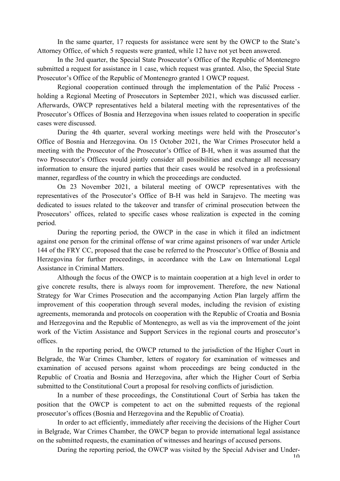In the same quarter, 17 requests for assistance were sent by the OWCP to the State's Attorney Office, of which 5 requests were granted, while 12 have not yet been answered.

In the 3rd quarter, the Special State Prosecutor's Office of the Republic of Montenegro submitted a request for assistance in 1 case, which request was granted. Also, the Special State Prosecutor's Office of the Republic of Montenegro granted 1 OWCP request.

Regional cooperation continued through the implementation of the Palić Process holding a Regional Meeting of Prosecutors in September 2021, which was discussed earlier. Afterwards, OWCP representatives held a bilateral meeting with the representatives of the Prosecutor's Offices of Bosnia and Herzegovina when issues related to cooperation in specific cases were discussed.

During the 4th quarter, several working meetings were held with the Prosecutor's Office of Bosnia and Herzegovina. On 15 October 2021, the War Crimes Prosecutor held a meeting with the Prosecutor of the Prosecutor's Office of B-H, when it was assumed that the two Prosecutor's Offices would jointly consider all possibilities and exchange all necessary information to ensure the injured parties that their cases would be resolved in a professional manner, regardless of the country in which the proceedings are conducted.

On 23 November 2021, a bilateral meeting of OWCP representatives with the representatives of the Prosecutor's Office of B-H was held in Sarajevo. The meeting was dedicated to issues related to the takeover and transfer of criminal prosecution between the Prosecutors' offices, related to specific cases whose realization is expected in the coming period.

During the reporting period, the OWCP in the case in which it filed an indictment against one person for the criminal offense of war crime against prisoners of war under Article 144 of the FRY CC, proposed that the case be referred to the Prosecutor's Office of Bosnia and Herzegovina for further proceedings, in accordance with the Law on International Legal Assistance in Criminal Matters.

Although the focus of the OWCP is to maintain cooperation at a high level in order to give concrete results, there is always room for improvement. Therefore, the new National Strategy for War Crimes Prosecution and the accompanying Action Plan largely affirm the improvement of this cooperation through several modes, including the revision of existing agreements, memoranda and protocols on cooperation with the Republic of Croatia and Bosnia and Herzegovina and the Republic of Montenegro, as well as via the improvement of the joint work of the Victim Assistance and Support Services in the regional courts and prosecutor's offices.

In the reporting period, the OWCP returned to the jurisdiction of the Higher Court in Belgrade, the War Crimes Chamber, letters of rogatory for examination of witnesses and examination of accused persons against whom proceedings are being conducted in the Republic of Croatia and Bosnia and Herzegovina, after which the Higher Court of Serbia submitted to the Constitutional Court a proposal for resolving conflicts of jurisdiction.

In a number of these proceedings, the Constitutional Court of Serbia has taken the position that the OWCP is competent to act on the submitted requests of the regional prosecutor's offices (Bosnia and Herzegovina and the Republic of Croatia).

In order to act efficiently, immediately after receiving the decisions of the Higher Court in Belgrade, War Crimes Chamber, the OWCP began to provide international legal assistance on the submitted requests, the examination of witnesses and hearings of accused persons.

During the reporting period, the OWCP was visited by the Special Adviser and Under-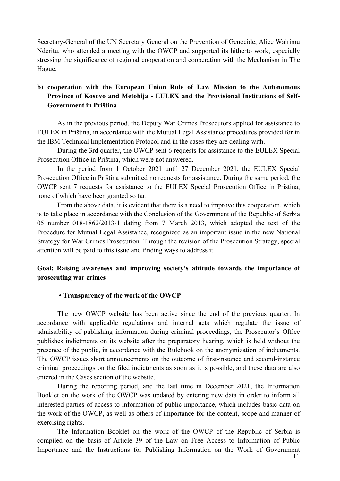Secretary-General of the UN Secretary General on the Prevention of Genocide, Alice Wairimu Nderitu, who attended a meeting with the OWCP and supported its hitherto work, especially stressing the significance of regional cooperation and cooperation with the Mechanism in The Hague.

# **b) cooperation with the European Union Rule of Law Mission to the Autonomous Province of Kosovo and Metohija - EULEX and the Provisional Institutions of Self-Government in Priština**

As in the previous period, the Deputy War Crimes Prosecutors applied for assistance to EULEX in Priština, in accordance with the Mutual Legal Assistance procedures provided for in the IBM Technical Implementation Protocol and in the cases they are dealing with.

During the 3rd quarter, the OWCP sent 6 requests for assistance to the EULEX Special Prosecution Office in Priština, which were not answered.

In the period from 1 October 2021 until 27 December 2021, the EULEX Special Prosecution Office in Priština submitted no requests for assistance. During the same period, the OWCP sent 7 requests for assistance to the EULEX Special Prosecution Office in Priština, none of which have been granted so far.

From the above data, it is evident that there is a need to improve this cooperation, which is to take place in accordance with the Conclusion of the Government of the Republic of Serbia 05 number 018-1862/2013-1 dating from 7 March 2013, which adopted the text of the Procedure for Mutual Legal Assistance, recognized as an important issue in the new National Strategy for War Crimes Prosecution. Through the revision of the Prosecution Strategy, special attention will be paid to this issue and finding ways to address it.

## **Goal: Raising awareness and improving society's attitude towards the importance of prosecuting war crimes**

### **• Transparency of the work of the OWCP**

The new OWCP website has been active since the end of the previous quarter. In accordance with applicable regulations and internal acts which regulate the issue of admissibility of publishing information during criminal proceedings, the Prosecutor's Office publishes indictments on its website after the preparatory hearing, which is held without the presence of the public, in accordance with the Rulebook on the anonymization of indictments. The OWCP issues short announcements on the outcome of first-instance and second-instance criminal proceedings on the filed indictments as soon as it is possible, and these data are also entered in the Cases section of the website.

During the reporting period, and the last time in December 2021, the Information Booklet on the work of the OWCP was updated by entering new data in order to inform all interested parties of access to information of public importance, which includes basic data on the work of the OWCP, as well as others of importance for the content, scope and manner of exercising rights.

The Information Booklet on the work of the OWCP of the Republic of Serbia is compiled on the basis of Article 39 of the Law on Free Access to Information of Public Importance and the Instructions for Publishing Information on the Work of Government